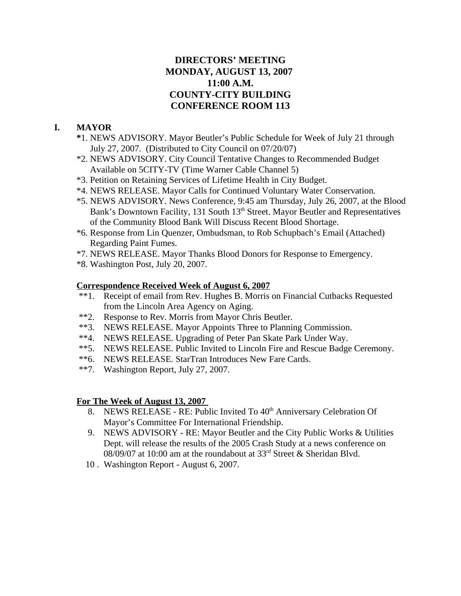# **DIRECTORS' MEETING MONDAY, AUGUST 13, 2007 11:00 A.M. COUNTY-CITY BUILDING CONFERENCE ROOM 113**

# **I. MAYOR**

- **\***1. NEWS ADVISORY. Mayor Beutler's Public Schedule for Week of July 21 through July 27, 2007. (Distributed to City Council on 07/20/07)
- \*2. NEWS ADVISORY. City Council Tentative Changes to Recommended Budget Available on 5CITY-TV (Time Warner Cable Channel 5)
- \*3. Petition on Retaining Services of Lifetime Health in City Budget.
- \*4. NEWS RELEASE. Mayor Calls for Continued Voluntary Water Conservation.
- \*5. NEWS ADVISORY. News Conference, 9:45 am Thursday, July 26, 2007, at the Blood Bank's Downtown Facility, 131 South 13<sup>th</sup> Street. Mayor Beutler and Representatives of the Community Blood Bank Will Discuss Recent Blood Shortage.
- \*6. Response from Lin Quenzer, Ombudsman, to Rob Schupbach's Email (Attached) Regarding Paint Fumes.
- \*7. NEWS RELEASE. Mayor Thanks Blood Donors for Response to Emergency.
- \*8. Washington Post, July 20, 2007.

### **Correspondence Received Week of August 6, 2007**

- \*\*1. Receipt of email from Rev. Hughes B. Morris on Financial Cutbacks Requested from the Lincoln Area Agency on Aging.
- \*\*2. Response to Rev. Morris from Mayor Chris Beutler.
- \*\*3. NEWS RELEASE. Mayor Appoints Three to Planning Commission.
- \*\*4. NEWS RELEASE. Upgrading of Peter Pan Skate Park Under Way.
- \*\*5. NEWS RELEASE. Public Invited to Lincoln Fire and Rescue Badge Ceremony.
- \*\*6. NEWS RELEASE. StarTran Introduces New Fare Cards.
- \*\*7. Washington Report, July 27, 2007.

### **For The Week of August 13, 2007**

- 8. NEWS RELEASE RE: Public Invited To 40<sup>th</sup> Anniversary Celebration Of Mayor's Committee For International Friendship.
- 9. NEWS ADVISORY RE: Mayor Beutler and the City Public Works & Utilities Dept. will release the results of the 2005 Crash Study at a news conference on 08/09/07 at 10:00 am at the roundabout at 33rd Street & Sheridan Blvd.
- 10 . Washington Report August 6, 2007.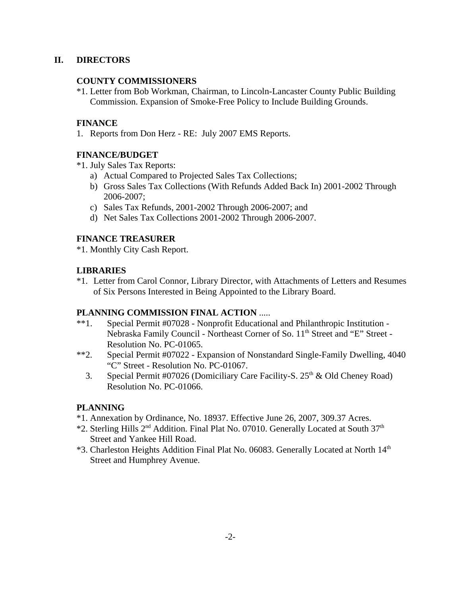# **II. DIRECTORS**

# **COUNTY COMMISSIONERS**

\*1. Letter from Bob Workman, Chairman, to Lincoln-Lancaster County Public Building Commission. Expansion of Smoke-Free Policy to Include Building Grounds.

# **FINANCE**

1. Reports from Don Herz - RE: July 2007 EMS Reports.

### **FINANCE/BUDGET**

\*1. July Sales Tax Reports:

- a) Actual Compared to Projected Sales Tax Collections;
- b) Gross Sales Tax Collections (With Refunds Added Back In) 2001-2002 Through 2006-2007;
- c) Sales Tax Refunds, 2001-2002 Through 2006-2007; and
- d) Net Sales Tax Collections 2001-2002 Through 2006-2007.

### **FINANCE TREASURER**

\*1. Monthly City Cash Report.

### **LIBRARIES**

\*1. Letter from Carol Connor, Library Director, with Attachments of Letters and Resumes of Six Persons Interested in Being Appointed to the Library Board.

### **PLANNING COMMISSION FINAL ACTION** .....

- \*\*1. Special Permit #07028 Nonprofit Educational and Philanthropic Institution Nebraska Family Council - Northeast Corner of So. 11<sup>th</sup> Street and "E" Street -Resolution No. PC-01065.
- \*\*2. Special Permit #07022 Expansion of Nonstandard Single-Family Dwelling, 4040 "C" Street - Resolution No. PC-01067.
	- 3. Special Permit #07026 (Domiciliary Care Facility-S.  $25<sup>th</sup>$  & Old Cheney Road) Resolution No. PC-01066.

# **PLANNING**

- \*1. Annexation by Ordinance, No. 18937. Effective June 26, 2007, 309.37 Acres.
- \*2. Sterling Hills 2<sup>nd</sup> Addition. Final Plat No. 07010. Generally Located at South 37<sup>th</sup> Street and Yankee Hill Road.
- \*3. Charleston Heights Addition Final Plat No. 06083. Generally Located at North 14<sup>th</sup> Street and Humphrey Avenue.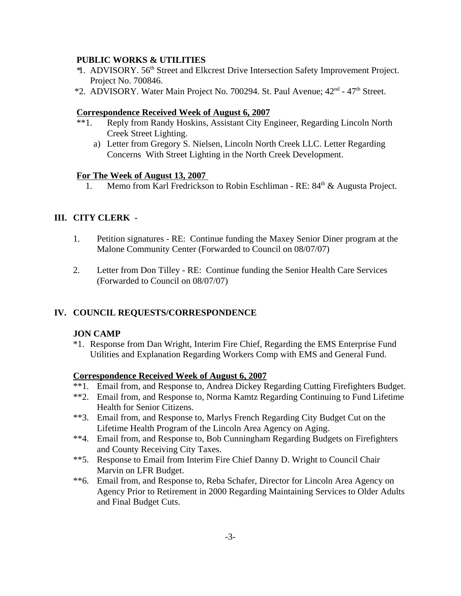### **PUBLIC WORKS & UTILITIES**

- \* 1. ADVISORY. 56th Street and Elkcrest Drive Intersection Safety Improvement Project. Project No. 700846.
- \*2. ADVISORY. Water Main Project No. 700294. St. Paul Avenue; 42<sup>nd</sup> 47<sup>th</sup> Street.

### **Correspondence Received Week of August 6, 2007**

- \*\*1. Reply from Randy Hoskins, Assistant City Engineer, Regarding Lincoln North Creek Street Lighting.
	- a) Letter from Gregory S. Nielsen, Lincoln North Creek LLC. Letter Regarding Concerns With Street Lighting in the North Creek Development.

### **For The Week of August 13, 2007**

1. Memo from Karl Fredrickson to Robin Eschliman - RE:  $84<sup>th</sup>$  & Augusta Project.

# **III. CITY CLERK -**

- 1. Petition signatures RE: Continue funding the Maxey Senior Diner program at the Malone Community Center (Forwarded to Council on 08/07/07)
- 2. Letter from Don Tilley RE: Continue funding the Senior Health Care Services (Forwarded to Council on 08/07/07)

# **IV. COUNCIL REQUESTS/CORRESPONDENCE**

# **JON CAMP**

\*1. Response from Dan Wright, Interim Fire Chief, Regarding the EMS Enterprise Fund Utilities and Explanation Regarding Workers Comp with EMS and General Fund.

### **Correspondence Received Week of August 6, 2007**

- \*\*1. Email from, and Response to, Andrea Dickey Regarding Cutting Firefighters Budget.
- \*\*2. Email from, and Response to, Norma Kamtz Regarding Continuing to Fund Lifetime Health for Senior Citizens.
- \*\*3. Email from, and Response to, Marlys French Regarding City Budget Cut on the Lifetime Health Program of the Lincoln Area Agency on Aging.
- \*\*4. Email from, and Response to, Bob Cunningham Regarding Budgets on Firefighters and County Receiving City Taxes.
- \*\*5. Response to Email from Interim Fire Chief Danny D. Wright to Council Chair Marvin on LFR Budget.
- \*\*6. Email from, and Response to, Reba Schafer, Director for Lincoln Area Agency on Agency Prior to Retirement in 2000 Regarding Maintaining Services to Older Adults and Final Budget Cuts.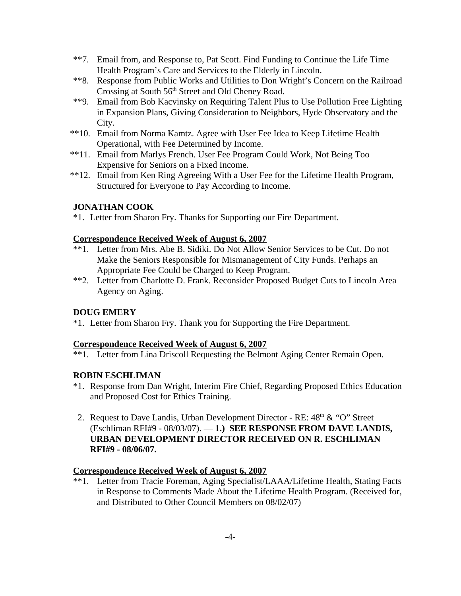- \*\*7. Email from, and Response to, Pat Scott. Find Funding to Continue the Life Time Health Program's Care and Services to the Elderly in Lincoln.
- \*\*8. Response from Public Works and Utilities to Don Wright's Concern on the Railroad Crossing at South 56<sup>th</sup> Street and Old Cheney Road.
- \*\*9. Email from Bob Kacvinsky on Requiring Talent Plus to Use Pollution Free Lighting in Expansion Plans, Giving Consideration to Neighbors, Hyde Observatory and the City.
- \*\*10. Email from Norma Kamtz. Agree with User Fee Idea to Keep Lifetime Health Operational, with Fee Determined by Income.
- \*\*11. Email from Marlys French. User Fee Program Could Work, Not Being Too Expensive for Seniors on a Fixed Income.
- \*\*12. Email from Ken Ring Agreeing With a User Fee for the Lifetime Health Program, Structured for Everyone to Pay According to Income.

### **JONATHAN COOK**

\*1. Letter from Sharon Fry. Thanks for Supporting our Fire Department.

### **Correspondence Received Week of August 6, 2007**

- \*\*1. Letter from Mrs. Abe B. Sidiki. Do Not Allow Senior Services to be Cut. Do not Make the Seniors Responsible for Mismanagement of City Funds. Perhaps an Appropriate Fee Could be Charged to Keep Program.
- \*\*2. Letter from Charlotte D. Frank. Reconsider Proposed Budget Cuts to Lincoln Area Agency on Aging.

### **DOUG EMERY**

\*1. Letter from Sharon Fry. Thank you for Supporting the Fire Department.

### **Correspondence Received Week of August 6, 2007**

\*\*1. Letter from Lina Driscoll Requesting the Belmont Aging Center Remain Open.

# **ROBIN ESCHLIMAN**

- \*1. Response from Dan Wright, Interim Fire Chief, Regarding Proposed Ethics Education and Proposed Cost for Ethics Training.
- 2. Request to Dave Landis, Urban Development Director RE:  $48<sup>th</sup> \& ^{\circ}$  'O'' Street (Eschliman RFI#9 - 08/03/07). — **1.) SEE RESPONSE FROM DAVE LANDIS, URBAN DEVELOPMENT DIRECTOR RECEIVED ON R. ESCHLIMAN RFI#9 - 08/06/07.**

### **Correspondence Received Week of August 6, 2007**

\*\*1. Letter from Tracie Foreman, Aging Specialist/LAAA/Lifetime Health, Stating Facts in Response to Comments Made About the Lifetime Health Program. (Received for, and Distributed to Other Council Members on 08/02/07)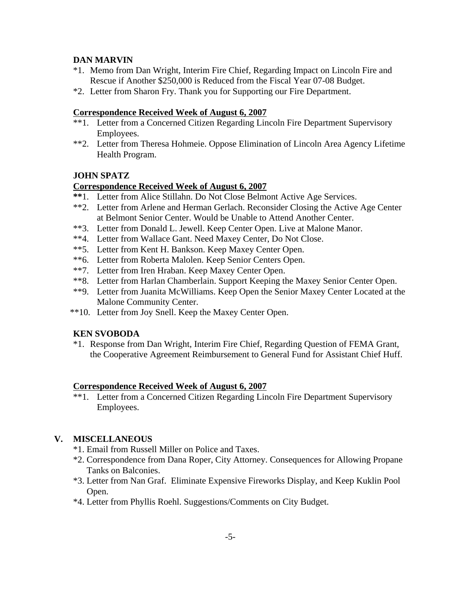# **DAN MARVIN**

- \*1. Memo from Dan Wright, Interim Fire Chief, Regarding Impact on Lincoln Fire and Rescue if Another \$250,000 is Reduced from the Fiscal Year 07-08 Budget.
- \*2. Letter from Sharon Fry. Thank you for Supporting our Fire Department.

# **Correspondence Received Week of August 6, 2007**

- \*\*1. Letter from a Concerned Citizen Regarding Lincoln Fire Department Supervisory Employees.
- \*\*2. Letter from Theresa Hohmeie. Oppose Elimination of Lincoln Area Agency Lifetime Health Program.

# **JOHN SPATZ**

# **Correspondence Received Week of August 6, 2007**

- **\*\***1. Letter from Alice Stillahn. Do Not Close Belmont Active Age Services.
- \*\*2. Letter from Arlene and Herman Gerlach. Reconsider Closing the Active Age Center at Belmont Senior Center. Would be Unable to Attend Another Center.
- \*\*3. Letter from Donald L. Jewell. Keep Center Open. Live at Malone Manor.
- \*\*4. Letter from Wallace Gant. Need Maxey Center, Do Not Close.
- \*\*5. Letter from Kent H. Bankson. Keep Maxey Center Open.
- \*\*6. Letter from Roberta Malolen. Keep Senior Centers Open.
- \*\*7. Letter from Iren Hraban. Keep Maxey Center Open.
- \*\*8. Letter from Harlan Chamberlain. Support Keeping the Maxey Senior Center Open.
- \*\*9. Letter from Juanita McWilliams. Keep Open the Senior Maxey Center Located at the Malone Community Center.
- \*\*10. Letter from Joy Snell. Keep the Maxey Center Open.

# **KEN SVOBODA**

\*1. Response from Dan Wright, Interim Fire Chief, Regarding Question of FEMA Grant, the Cooperative Agreement Reimbursement to General Fund for Assistant Chief Huff.

### **Correspondence Received Week of August 6, 2007**

\*\*1. Letter from a Concerned Citizen Regarding Lincoln Fire Department Supervisory Employees.

# **V. MISCELLANEOUS**

- \*1. Email from Russell Miller on Police and Taxes.
- \*2. Correspondence from Dana Roper, City Attorney. Consequences for Allowing Propane Tanks on Balconies.
- \*3. Letter from Nan Graf. Eliminate Expensive Fireworks Display, and Keep Kuklin Pool Open.
- \*4. Letter from Phyllis Roehl. Suggestions/Comments on City Budget.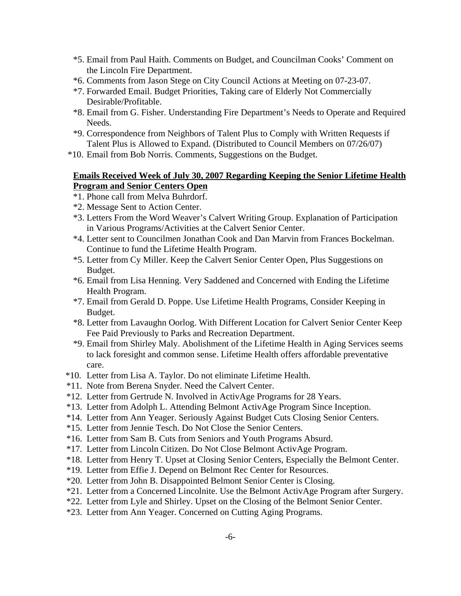- \*5. Email from Paul Haith. Comments on Budget, and Councilman Cooks' Comment on the Lincoln Fire Department.
- \*6. Comments from Jason Stege on City Council Actions at Meeting on 07-23-07.
- \*7. Forwarded Email. Budget Priorities, Taking care of Elderly Not Commercially Desirable/Profitable.
- \*8. Email from G. Fisher. Understanding Fire Department's Needs to Operate and Required Needs.
- \*9. Correspondence from Neighbors of Talent Plus to Comply with Written Requests if Talent Plus is Allowed to Expand. (Distributed to Council Members on 07/26/07)
- \*10. Email from Bob Norris. Comments, Suggestions on the Budget.

### **Emails Received Week of July 30, 2007 Regarding Keeping the Senior Lifetime Health Program and Senior Centers Open**

- \*1. Phone call from Melva Buhrdorf.
- \*2. Message Sent to Action Center.
- \*3. Letters From the Word Weaver's Calvert Writing Group. Explanation of Participation in Various Programs/Activities at the Calvert Senior Center.
- \*4. Letter sent to Councilmen Jonathan Cook and Dan Marvin from Frances Bockelman. Continue to fund the Lifetime Health Program.
- \*5. Letter from Cy Miller. Keep the Calvert Senior Center Open, Plus Suggestions on Budget.
- \*6. Email from Lisa Henning. Very Saddened and Concerned with Ending the Lifetime Health Program.
- \*7. Email from Gerald D. Poppe. Use Lifetime Health Programs, Consider Keeping in Budget.
- \*8. Letter from Lavaughn Oorlog. With Different Location for Calvert Senior Center Keep Fee Paid Previously to Parks and Recreation Department.
- \*9. Email from Shirley Maly. Abolishment of the Lifetime Health in Aging Services seems to lack foresight and common sense. Lifetime Health offers affordable preventative care.
- \*10. Letter from Lisa A. Taylor. Do not eliminate Lifetime Health.
- \*11. Note from Berena Snyder. Need the Calvert Center.
- \*12. Letter from Gertrude N. Involved in ActivAge Programs for 28 Years.
- \*13. Letter from Adolph L. Attending Belmont ActivAge Program Since Inception.
- \*14. Letter from Ann Yeager. Seriously Against Budget Cuts Closing Senior Centers.
- \*15. Letter from Jennie Tesch. Do Not Close the Senior Centers.
- \*16. Letter from Sam B. Cuts from Seniors and Youth Programs Absurd.
- \*17. Letter from Lincoln Citizen. Do Not Close Belmont ActivAge Program.
- \*18. Letter from Henry T. Upset at Closing Senior Centers, Especially the Belmont Center.
- \*19. Letter from Effie J. Depend on Belmont Rec Center for Resources.
- \*20. Letter from John B. Disappointed Belmont Senior Center is Closing.
- \*21. Letter from a Concerned Lincolnite. Use the Belmont ActivAge Program after Surgery.
- \*22. Letter from Lyle and Shirley. Upset on the Closing of the Belmont Senior Center.
- \*23. Letter from Ann Yeager. Concerned on Cutting Aging Programs.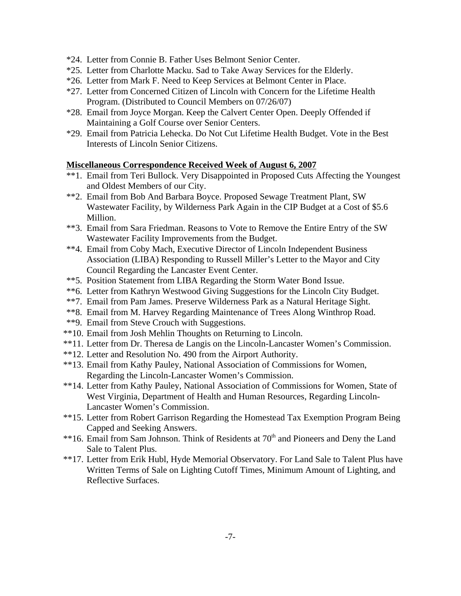- \*24. Letter from Connie B. Father Uses Belmont Senior Center.
- \*25. Letter from Charlotte Macku. Sad to Take Away Services for the Elderly.
- \*26. Letter from Mark F. Need to Keep Services at Belmont Center in Place.
- \*27. Letter from Concerned Citizen of Lincoln with Concern for the Lifetime Health Program. (Distributed to Council Members on 07/26/07)
- \*28. Email from Joyce Morgan. Keep the Calvert Center Open. Deeply Offended if Maintaining a Golf Course over Senior Centers.
- \*29. Email from Patricia Lehecka. Do Not Cut Lifetime Health Budget. Vote in the Best Interests of Lincoln Senior Citizens.

### **Miscellaneous Correspondence Received Week of August 6, 2007**

- \*\*1. Email from Teri Bullock. Very Disappointed in Proposed Cuts Affecting the Youngest and Oldest Members of our City.
- \*\*2. Email from Bob And Barbara Boyce. Proposed Sewage Treatment Plant, SW Wastewater Facility, by Wilderness Park Again in the CIP Budget at a Cost of \$5.6 Million.
- \*\*3. Email from Sara Friedman. Reasons to Vote to Remove the Entire Entry of the SW Wastewater Facility Improvements from the Budget.
- \*\*4. Email from Coby Mach, Executive Director of Lincoln Independent Business Association (LIBA) Responding to Russell Miller's Letter to the Mayor and City Council Regarding the Lancaster Event Center.
- \*\*5. Position Statement from LIBA Regarding the Storm Water Bond Issue.
- \*\*6. Letter from Kathryn Westwood Giving Suggestions for the Lincoln City Budget.
- \*\*7. Email from Pam James. Preserve Wilderness Park as a Natural Heritage Sight.
- \*\*8. Email from M. Harvey Regarding Maintenance of Trees Along Winthrop Road.
- \*\*9. Email from Steve Crouch with Suggestions.
- \*\*10. Email from Josh Mehlin Thoughts on Returning to Lincoln.
- \*\*11. Letter from Dr. Theresa de Langis on the Lincoln-Lancaster Women's Commission.
- \*\*12. Letter and Resolution No. 490 from the Airport Authority.
- \*\*13. Email from Kathy Pauley, National Association of Commissions for Women, Regarding the Lincoln-Lancaster Women's Commission.
- \*\*14. Letter from Kathy Pauley, National Association of Commissions for Women, State of West Virginia, Department of Health and Human Resources, Regarding Lincoln-Lancaster Women's Commission.
- \*\*15. Letter from Robert Garrison Regarding the Homestead Tax Exemption Program Being Capped and Seeking Answers.
- \*\*16. Email from Sam Johnson. Think of Residents at 70<sup>th</sup> and Pioneers and Deny the Land Sale to Talent Plus.
- \*\*17. Letter from Erik Hubl, Hyde Memorial Observatory. For Land Sale to Talent Plus have Written Terms of Sale on Lighting Cutoff Times, Minimum Amount of Lighting, and Reflective Surfaces.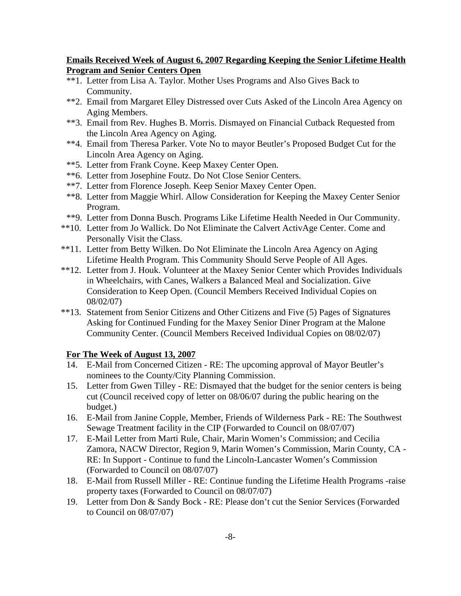### **Emails Received Week of August 6, 2007 Regarding Keeping the Senior Lifetime Health Program and Senior Centers Open**

- \*\*1. Letter from Lisa A. Taylor. Mother Uses Programs and Also Gives Back to Community.
- \*\*2. Email from Margaret Elley Distressed over Cuts Asked of the Lincoln Area Agency on Aging Members.
- \*\*3. Email from Rev. Hughes B. Morris. Dismayed on Financial Cutback Requested from the Lincoln Area Agency on Aging.
- \*\*4. Email from Theresa Parker. Vote No to mayor Beutler's Proposed Budget Cut for the Lincoln Area Agency on Aging.
- \*\*5. Letter from Frank Coyne. Keep Maxey Center Open.
- \*\*6. Letter from Josephine Foutz. Do Not Close Senior Centers.
- \*\*7. Letter from Florence Joseph. Keep Senior Maxey Center Open.
- \*\*8. Letter from Maggie Whirl. Allow Consideration for Keeping the Maxey Center Senior Program.
- \*\*9. Letter from Donna Busch. Programs Like Lifetime Health Needed in Our Community.
- \*\*10. Letter from Jo Wallick. Do Not Eliminate the Calvert ActivAge Center. Come and Personally Visit the Class.
- \*\*11. Letter from Betty Wilken. Do Not Eliminate the Lincoln Area Agency on Aging Lifetime Health Program. This Community Should Serve People of All Ages.
- \*\*12. Letter from J. Houk. Volunteer at the Maxey Senior Center which Provides Individuals in Wheelchairs, with Canes, Walkers a Balanced Meal and Socialization. Give Consideration to Keep Open. (Council Members Received Individual Copies on 08/02/07)
- \*\*13. Statement from Senior Citizens and Other Citizens and Five (5) Pages of Signatures Asking for Continued Funding for the Maxey Senior Diner Program at the Malone Community Center. (Council Members Received Individual Copies on 08/02/07)

### **For The Week of August 13, 2007**

- 14. E-Mail from Concerned Citizen RE: The upcoming approval of Mayor Beutler's nominees to the County/City Planning Commission.
- 15. Letter from Gwen Tilley RE: Dismayed that the budget for the senior centers is being cut (Council received copy of letter on 08/06/07 during the public hearing on the budget.)
- 16. E-Mail from Janine Copple, Member, Friends of Wilderness Park RE: The Southwest Sewage Treatment facility in the CIP (Forwarded to Council on 08/07/07)
- 17. E-Mail Letter from Marti Rule, Chair, Marin Women's Commission; and Cecilia Zamora, NACW Director, Region 9, Marin Women's Commission, Marin County, CA - RE: In Support - Continue to fund the Lincoln-Lancaster Women's Commission (Forwarded to Council on 08/07/07)
- 18. E-Mail from Russell Miller RE: Continue funding the Lifetime Health Programs -raise property taxes (Forwarded to Council on 08/07/07)
- 19. Letter from Don & Sandy Bock RE: Please don't cut the Senior Services (Forwarded to Council on 08/07/07)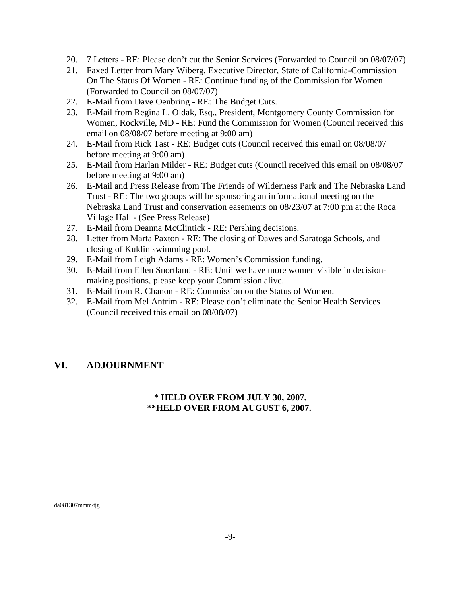- 20. 7 Letters RE: Please don't cut the Senior Services (Forwarded to Council on 08/07/07)
- 21. Faxed Letter from Mary Wiberg, Executive Director, State of California-Commission On The Status Of Women - RE: Continue funding of the Commission for Women (Forwarded to Council on 08/07/07)
- 22. E-Mail from Dave Oenbring RE: The Budget Cuts.
- 23. E-Mail from Regina L. Oldak, Esq., President, Montgomery County Commission for Women, Rockville, MD - RE: Fund the Commission for Women (Council received this email on 08/08/07 before meeting at 9:00 am)
- 24. E-Mail from Rick Tast RE: Budget cuts (Council received this email on 08/08/07 before meeting at 9:00 am)
- 25. E-Mail from Harlan Milder RE: Budget cuts (Council received this email on 08/08/07 before meeting at 9:00 am)
- 26. E-Mail and Press Release from The Friends of Wilderness Park and The Nebraska Land Trust - RE: The two groups will be sponsoring an informational meeting on the Nebraska Land Trust and conservation easements on 08/23/07 at 7:00 pm at the Roca Village Hall - (See Press Release)
- 27. E-Mail from Deanna McClintick RE: Pershing decisions.
- 28. Letter from Marta Paxton RE: The closing of Dawes and Saratoga Schools, and closing of Kuklin swimming pool.
- 29. E-Mail from Leigh Adams RE: Women's Commission funding.
- 30. E-Mail from Ellen Snortland RE: Until we have more women visible in decisionmaking positions, please keep your Commission alive.
- 31. E-Mail from R. Chanon RE: Commission on the Status of Women.
- 32. E-Mail from Mel Antrim RE: Please don't eliminate the Senior Health Services (Council received this email on 08/08/07)

# **VI. ADJOURNMENT**

# \* **HELD OVER FROM JULY 30, 2007. \*\*HELD OVER FROM AUGUST 6, 2007.**

da081307mmm/tjg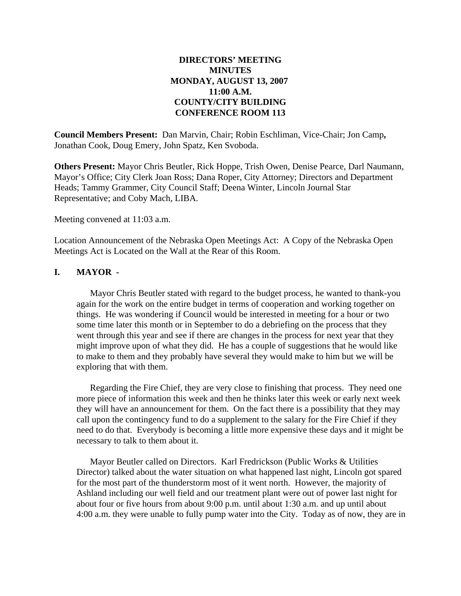# **DIRECTORS' MEETING MINUTES MONDAY, AUGUST 13, 2007 11:00 A.M. COUNTY/CITY BUILDING CONFERENCE ROOM 113**

**Council Members Present:** Dan Marvin, Chair; Robin Eschliman, Vice-Chair; Jon Camp**,** Jonathan Cook, Doug Emery, John Spatz, Ken Svoboda.

**Others Present:** Mayor Chris Beutler, Rick Hoppe, Trish Owen, Denise Pearce, Darl Naumann, Mayor's Office; City Clerk Joan Ross; Dana Roper, City Attorney; Directors and Department Heads; Tammy Grammer, City Council Staff; Deena Winter, Lincoln Journal Star Representative; and Coby Mach, LIBA.

Meeting convened at 11:03 a.m.

Location Announcement of the Nebraska Open Meetings Act: A Copy of the Nebraska Open Meetings Act is Located on the Wall at the Rear of this Room.

### **I. MAYOR -**

Mayor Chris Beutler stated with regard to the budget process, he wanted to thank-you again for the work on the entire budget in terms of cooperation and working together on things. He was wondering if Council would be interested in meeting for a hour or two some time later this month or in September to do a debriefing on the process that they went through this year and see if there are changes in the process for next year that they might improve upon of what they did. He has a couple of suggestions that he would like to make to them and they probably have several they would make to him but we will be exploring that with them.

Regarding the Fire Chief, they are very close to finishing that process. They need one more piece of information this week and then he thinks later this week or early next week they will have an announcement for them. On the fact there is a possibility that they may call upon the contingency fund to do a supplement to the salary for the Fire Chief if they need to do that. Everybody is becoming a little more expensive these days and it might be necessary to talk to them about it.

Mayor Beutler called on Directors. Karl Fredrickson (Public Works & Utilities Director) talked about the water situation on what happened last night, Lincoln got spared for the most part of the thunderstorm most of it went north. However, the majority of Ashland including our well field and our treatment plant were out of power last night for about four or five hours from about 9:00 p.m. until about 1:30 a.m. and up until about 4:00 a.m. they were unable to fully pump water into the City. Today as of now, they are in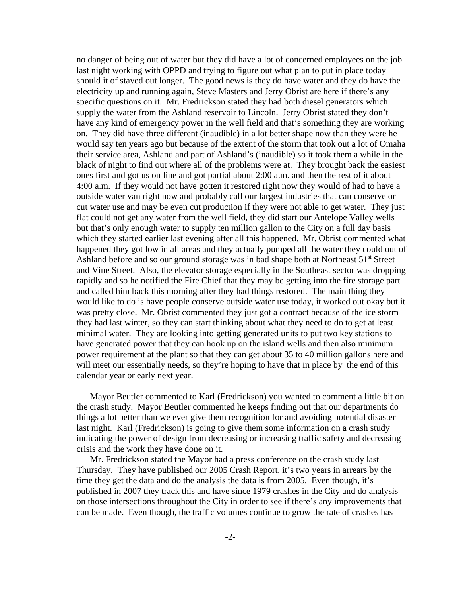no danger of being out of water but they did have a lot of concerned employees on the job last night working with OPPD and trying to figure out what plan to put in place today should it of stayed out longer. The good news is they do have water and they do have the electricity up and running again, Steve Masters and Jerry Obrist are here if there's any specific questions on it. Mr. Fredrickson stated they had both diesel generators which supply the water from the Ashland reservoir to Lincoln. Jerry Obrist stated they don't have any kind of emergency power in the well field and that's something they are working on. They did have three different (inaudible) in a lot better shape now than they were he would say ten years ago but because of the extent of the storm that took out a lot of Omaha their service area, Ashland and part of Ashland's (inaudible) so it took them a while in the black of night to find out where all of the problems were at. They brought back the easiest ones first and got us on line and got partial about 2:00 a.m. and then the rest of it about 4:00 a.m. If they would not have gotten it restored right now they would of had to have a outside water van right now and probably call our largest industries that can conserve or cut water use and may be even cut production if they were not able to get water. They just flat could not get any water from the well field, they did start our Antelope Valley wells but that's only enough water to supply ten million gallon to the City on a full day basis which they started earlier last evening after all this happened. Mr. Obrist commented what happened they got low in all areas and they actually pumped all the water they could out of Ashland before and so our ground storage was in bad shape both at Northeast  $51<sup>st</sup>$  Street and Vine Street. Also, the elevator storage especially in the Southeast sector was dropping rapidly and so he notified the Fire Chief that they may be getting into the fire storage part and called him back this morning after they had things restored. The main thing they would like to do is have people conserve outside water use today, it worked out okay but it was pretty close. Mr. Obrist commented they just got a contract because of the ice storm they had last winter, so they can start thinking about what they need to do to get at least minimal water. They are looking into getting generated units to put two key stations to have generated power that they can hook up on the island wells and then also minimum power requirement at the plant so that they can get about 35 to 40 million gallons here and will meet our essentially needs, so they're hoping to have that in place by the end of this calendar year or early next year.

Mayor Beutler commented to Karl (Fredrickson) you wanted to comment a little bit on the crash study. Mayor Beutler commented he keeps finding out that our departments do things a lot better than we ever give them recognition for and avoiding potential disaster last night. Karl (Fredrickson) is going to give them some information on a crash study indicating the power of design from decreasing or increasing traffic safety and decreasing crisis and the work they have done on it.

Mr. Fredrickson stated the Mayor had a press conference on the crash study last Thursday. They have published our 2005 Crash Report, it's two years in arrears by the time they get the data and do the analysis the data is from 2005. Even though, it's published in 2007 they track this and have since 1979 crashes in the City and do analysis on those intersections throughout the City in order to see if there's any improvements that can be made. Even though, the traffic volumes continue to grow the rate of crashes has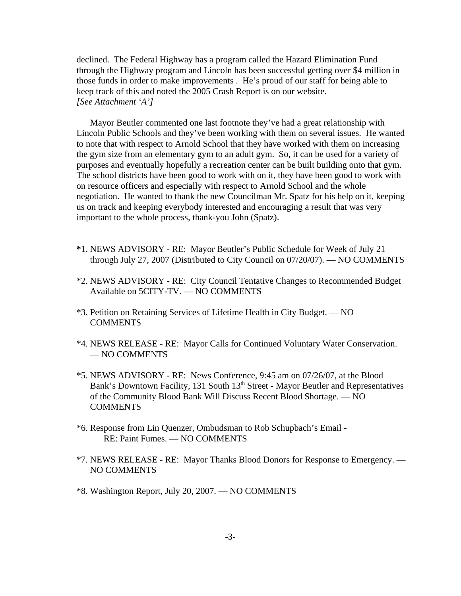declined. The Federal Highway has a program called the Hazard Elimination Fund through the Highway program and Lincoln has been successful getting over \$4 million in those funds in order to make improvements . He's proud of our staff for being able to keep track of this and noted the 2005 Crash Report is on our website. *[See Attachment 'A']* 

Mayor Beutler commented one last footnote they've had a great relationship with Lincoln Public Schools and they've been working with them on several issues. He wanted to note that with respect to Arnold School that they have worked with them on increasing the gym size from an elementary gym to an adult gym. So, it can be used for a variety of purposes and eventually hopefully a recreation center can be built building onto that gym. The school districts have been good to work with on it, they have been good to work with on resource officers and especially with respect to Arnold School and the whole negotiation. He wanted to thank the new Councilman Mr. Spatz for his help on it, keeping us on track and keeping everybody interested and encouraging a result that was very important to the whole process, thank-you John (Spatz).

- **\***1. NEWS ADVISORY RE: Mayor Beutler's Public Schedule for Week of July 21 through July 27, 2007 (Distributed to City Council on 07/20/07). — NO COMMENTS
- \*2. NEWS ADVISORY RE: City Council Tentative Changes to Recommended Budget Available on 5CITY-TV. — NO COMMENTS
- \*3. Petition on Retaining Services of Lifetime Health in City Budget. NO **COMMENTS**
- \*4. NEWS RELEASE RE: Mayor Calls for Continued Voluntary Water Conservation. — NO COMMENTS
- \*5. NEWS ADVISORY RE: News Conference, 9:45 am on 07/26/07, at the Blood Bank's Downtown Facility, 131 South 13<sup>th</sup> Street - Mayor Beutler and Representatives of the Community Blood Bank Will Discuss Recent Blood Shortage. — NO **COMMENTS**
- \*6. Response from Lin Quenzer, Ombudsman to Rob Schupbach's Email RE: Paint Fumes. — NO COMMENTS
- \*7. NEWS RELEASE RE: Mayor Thanks Blood Donors for Response to Emergency. NO COMMENTS
- \*8. Washington Report, July 20, 2007. NO COMMENTS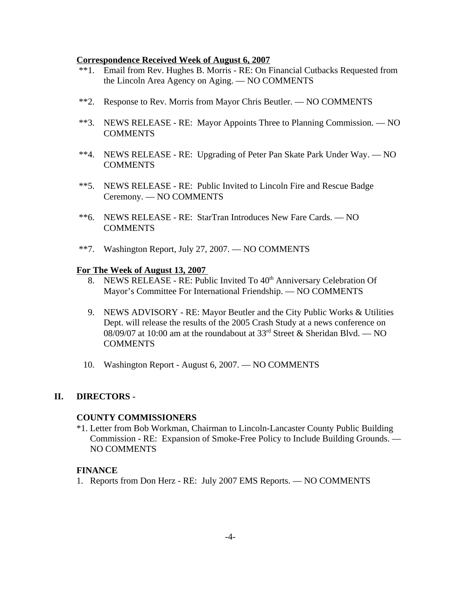#### **Correspondence Received Week of August 6, 2007**

- \*\*1. Email from Rev. Hughes B. Morris RE: On Financial Cutbacks Requested from the Lincoln Area Agency on Aging. — NO COMMENTS
- \*\*2. Response to Rev. Morris from Mayor Chris Beutler. NO COMMENTS
- \*\*3. NEWS RELEASE RE: Mayor Appoints Three to Planning Commission. NO **COMMENTS**
- \*\*4. NEWS RELEASE RE: Upgrading of Peter Pan Skate Park Under Way. NO COMMENTS
- \*\*5. NEWS RELEASE RE: Public Invited to Lincoln Fire and Rescue Badge Ceremony. — NO COMMENTS
- \*\*6. NEWS RELEASE RE: StarTran Introduces New Fare Cards. NO COMMENTS
- \*\*7. Washington Report, July 27, 2007. NO COMMENTS

#### **For The Week of August 13, 2007**

- 8. NEWS RELEASE RE: Public Invited To  $40<sup>th</sup>$  Anniversary Celebration Of Mayor's Committee For International Friendship. — NO COMMENTS
- 9. NEWS ADVISORY RE: Mayor Beutler and the City Public Works & Utilities Dept. will release the results of the 2005 Crash Study at a news conference on 08/09/07 at 10:00 am at the roundabout at  $33<sup>rd</sup>$  Street & Sheridan Blvd. — NO **COMMENTS**
- 10. Washington Report August 6, 2007. NO COMMENTS

#### **II. DIRECTORS -**

#### **COUNTY COMMISSIONERS**

\*1. Letter from Bob Workman, Chairman to Lincoln-Lancaster County Public Building Commission - RE: Expansion of Smoke-Free Policy to Include Building Grounds. — NO COMMENTS

#### **FINANCE**

1. Reports from Don Herz - RE: July 2007 EMS Reports. — NO COMMENTS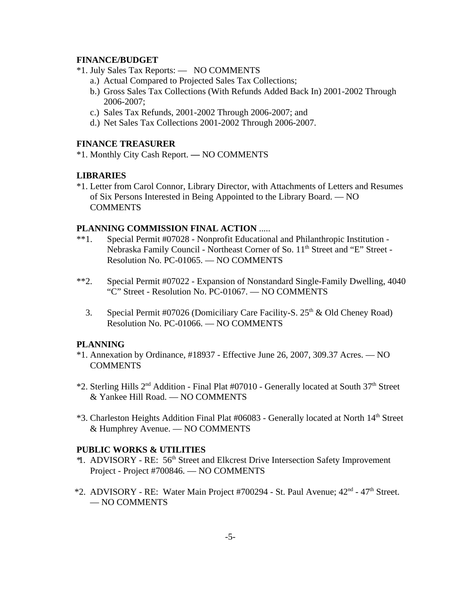### **FINANCE/BUDGET**

- \*1. July Sales Tax Reports: NO COMMENTS
	- a.) Actual Compared to Projected Sales Tax Collections;
	- b.) Gross Sales Tax Collections (With Refunds Added Back In) 2001-2002 Through 2006-2007;
	- c.) Sales Tax Refunds, 2001-2002 Through 2006-2007; and
	- d.) Net Sales Tax Collections 2001-2002 Through 2006-2007.

### **FINANCE TREASURER**

\*1. Monthly City Cash Report. **—** NO COMMENTS

### **LIBRARIES**

\*1. Letter from Carol Connor, Library Director, with Attachments of Letters and Resumes of Six Persons Interested in Being Appointed to the Library Board. — NO **COMMENTS** 

### **PLANNING COMMISSION FINAL ACTION** .....

- \*\*1. Special Permit #07028 Nonprofit Educational and Philanthropic Institution Nebraska Family Council - Northeast Corner of So. 11<sup>th</sup> Street and "E" Street -Resolution No. PC-01065. — NO COMMENTS
- \*\*2. Special Permit #07022 Expansion of Nonstandard Single-Family Dwelling, 4040 "C" Street - Resolution No. PC-01067. — NO COMMENTS
	- 3. Special Permit #07026 (Domiciliary Care Facility-S.  $25<sup>th</sup>$  & Old Cheney Road) Resolution No. PC-01066. — NO COMMENTS

#### **PLANNING**

- \*1. Annexation by Ordinance, #18937 Effective June 26, 2007, 309.37 Acres. NO COMMENTS
- \*2. Sterling Hills 2nd Addition Final Plat #07010 Generally located at South 37th Street & Yankee Hill Road. — NO COMMENTS
- \*3. Charleston Heights Addition Final Plat #06083 Generally located at North 14<sup>th</sup> Street & Humphrey Avenue. — NO COMMENTS

#### **PUBLIC WORKS & UTILITIES**

- \* 1. ADVISORY RE: 56th Street and Elkcrest Drive Intersection Safety Improvement Project - Project #700846. — NO COMMENTS
- $*2.$  ADVISORY RE: Water Main Project #700294 St. Paul Avenue;  $42<sup>nd</sup>$   $47<sup>th</sup>$  Street. — NO COMMENTS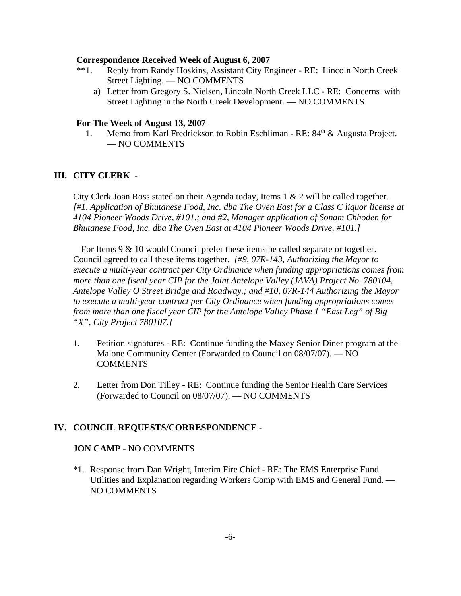#### **Correspondence Received Week of August 6, 2007**

- \*\*1. Reply from Randy Hoskins, Assistant City Engineer RE: Lincoln North Creek Street Lighting. — NO COMMENTS
	- a) Letter from Gregory S. Nielsen, Lincoln North Creek LLC RE: Concerns with Street Lighting in the North Creek Development. — NO COMMENTS

#### **For The Week of August 13, 2007**

1. Memo from Karl Fredrickson to Robin Eschliman - RE: 84<sup>th</sup> & Augusta Project. — NO COMMENTS

#### **III. CITY CLERK -**

City Clerk Joan Ross stated on their Agenda today, Items 1 & 2 will be called together. *[#1, Application of Bhutanese Food, Inc. dba The Oven East for a Class C liquor license at 4104 Pioneer Woods Drive, #101.; and #2, Manager application of Sonam Chhoden for Bhutanese Food, Inc. dba The Oven East at 4104 Pioneer Woods Drive, #101.]* 

For Items 9 & 10 would Council prefer these items be called separate or together. Council agreed to call these items together. *[#9, 07R-143, Authorizing the Mayor to execute a multi-year contract per City Ordinance when funding appropriations comes from more than one fiscal year CIP for the Joint Antelope Valley (JAVA) Project No. 780104, Antelope Valley O Street Bridge and Roadway.; and #10, 07R-144 Authorizing the Mayor to execute a multi-year contract per City Ordinance when funding appropriations comes from more than one fiscal year CIP for the Antelope Valley Phase 1 "East Leg" of Big "X", City Project 780107.]* 

- 1. Petition signatures RE: Continue funding the Maxey Senior Diner program at the Malone Community Center (Forwarded to Council on 08/07/07). — NO **COMMENTS**
- 2. Letter from Don Tilley RE: Continue funding the Senior Health Care Services (Forwarded to Council on 08/07/07). — NO COMMENTS

#### **IV. COUNCIL REQUESTS/CORRESPONDENCE -**

### **JON CAMP -** NO COMMENTS

\*1. Response from Dan Wright, Interim Fire Chief - RE: The EMS Enterprise Fund Utilities and Explanation regarding Workers Comp with EMS and General Fund. — NO COMMENTS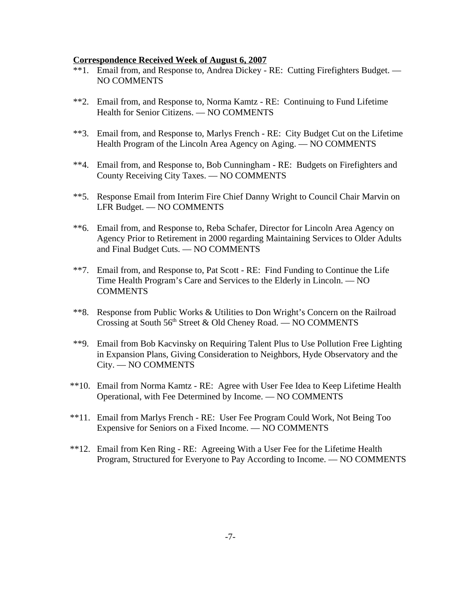#### **Correspondence Received Week of August 6, 2007**

- \*\*1. Email from, and Response to, Andrea Dickey RE: Cutting Firefighters Budget. NO COMMENTS
- \*\*2. Email from, and Response to, Norma Kamtz RE: Continuing to Fund Lifetime Health for Senior Citizens. — NO COMMENTS
- \*\*3. Email from, and Response to, Marlys French RE: City Budget Cut on the Lifetime Health Program of the Lincoln Area Agency on Aging. — NO COMMENTS
- \*\*4. Email from, and Response to, Bob Cunningham RE: Budgets on Firefighters and County Receiving City Taxes. — NO COMMENTS
- \*\*5. Response Email from Interim Fire Chief Danny Wright to Council Chair Marvin on LFR Budget. — NO COMMENTS
- \*\*6. Email from, and Response to, Reba Schafer, Director for Lincoln Area Agency on Agency Prior to Retirement in 2000 regarding Maintaining Services to Older Adults and Final Budget Cuts. — NO COMMENTS
- \*\*7. Email from, and Response to, Pat Scott RE: Find Funding to Continue the Life Time Health Program's Care and Services to the Elderly in Lincoln. — NO COMMENTS
- \*\*8. Response from Public Works & Utilities to Don Wright's Concern on the Railroad Crossing at South 56<sup>th</sup> Street & Old Cheney Road. — NO COMMENTS
- \*\*9. Email from Bob Kacvinsky on Requiring Talent Plus to Use Pollution Free Lighting in Expansion Plans, Giving Consideration to Neighbors, Hyde Observatory and the City. — NO COMMENTS
- \*\*10. Email from Norma Kamtz RE: Agree with User Fee Idea to Keep Lifetime Health Operational, with Fee Determined by Income. — NO COMMENTS
- \*\*11. Email from Marlys French RE: User Fee Program Could Work, Not Being Too Expensive for Seniors on a Fixed Income. — NO COMMENTS
- \*\*12. Email from Ken Ring RE: Agreeing With a User Fee for the Lifetime Health Program, Structured for Everyone to Pay According to Income. — NO COMMENTS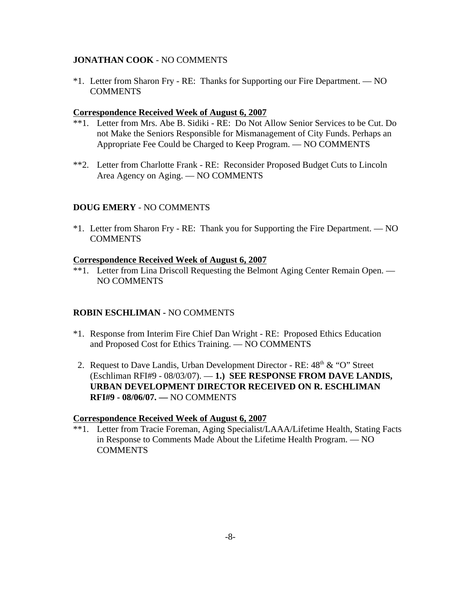### **JONATHAN COOK** - NO COMMENTS

\*1. Letter from Sharon Fry - RE: Thanks for Supporting our Fire Department. — NO **COMMENTS** 

### **Correspondence Received Week of August 6, 2007**

- \*\*1. Letter from Mrs. Abe B. Sidiki RE: Do Not Allow Senior Services to be Cut. Do not Make the Seniors Responsible for Mismanagement of City Funds. Perhaps an Appropriate Fee Could be Charged to Keep Program. — NO COMMENTS
- \*\*2. Letter from Charlotte Frank RE: Reconsider Proposed Budget Cuts to Lincoln Area Agency on Aging. — NO COMMENTS

### **DOUG EMERY** - NO COMMENTS

\*1. Letter from Sharon Fry - RE: Thank you for Supporting the Fire Department. — NO **COMMENTS** 

#### **Correspondence Received Week of August 6, 2007**

\*\*1. Letter from Lina Driscoll Requesting the Belmont Aging Center Remain Open. — NO COMMENTS

### **ROBIN ESCHLIMAN -** NO COMMENTS

- \*1. Response from Interim Fire Chief Dan Wright RE: Proposed Ethics Education and Proposed Cost for Ethics Training. — NO COMMENTS
- 2. Request to Dave Landis, Urban Development Director RE:  $48<sup>th</sup> \& ^{\circ}$  "O" Street (Eschliman RFI#9 - 08/03/07). — **1.) SEE RESPONSE FROM DAVE LANDIS, URBAN DEVELOPMENT DIRECTOR RECEIVED ON R. ESCHLIMAN RFI#9 - 08/06/07. —** NO COMMENTS

#### **Correspondence Received Week of August 6, 2007**

\*\*1. Letter from Tracie Foreman, Aging Specialist/LAAA/Lifetime Health, Stating Facts in Response to Comments Made About the Lifetime Health Program. — NO **COMMENTS**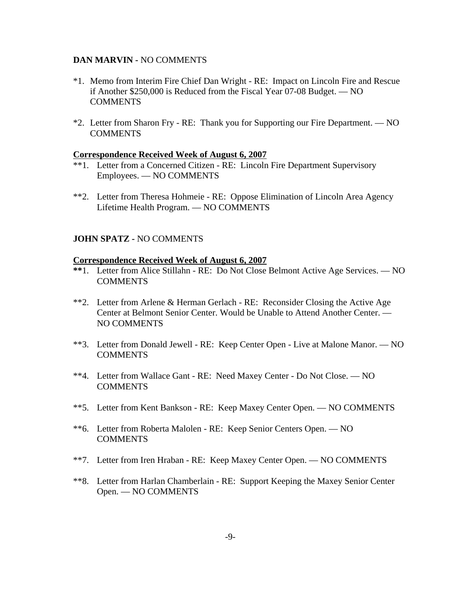#### **DAN MARVIN -** NO COMMENTS

- \*1. Memo from Interim Fire Chief Dan Wright RE: Impact on Lincoln Fire and Rescue if Another \$250,000 is Reduced from the Fiscal Year 07-08 Budget. — NO COMMENTS
- \*2. Letter from Sharon Fry RE: Thank you for Supporting our Fire Department. NO **COMMENTS**

#### **Correspondence Received Week of August 6, 2007**

- \*\*1. Letter from a Concerned Citizen RE: Lincoln Fire Department Supervisory Employees. — NO COMMENTS
- \*\*2. Letter from Theresa Hohmeie RE: Oppose Elimination of Lincoln Area Agency Lifetime Health Program. — NO COMMENTS

### **JOHN SPATZ -** NO COMMENTS

#### **Correspondence Received Week of August 6, 2007**

- **\*\***1. Letter from Alice Stillahn RE: Do Not Close Belmont Active Age Services. NO **COMMENTS**
- \*\*2. Letter from Arlene & Herman Gerlach RE: Reconsider Closing the Active Age Center at Belmont Senior Center. Would be Unable to Attend Another Center. — NO COMMENTS
- \*\*3. Letter from Donald Jewell RE: Keep Center Open Live at Malone Manor. NO **COMMENTS**
- \*\*4. Letter from Wallace Gant RE: Need Maxey Center Do Not Close. NO **COMMENTS**
- \*\*5. Letter from Kent Bankson RE: Keep Maxey Center Open. NO COMMENTS
- \*\*6. Letter from Roberta Malolen RE: Keep Senior Centers Open. NO **COMMENTS**
- \*\*7. Letter from Iren Hraban RE: Keep Maxey Center Open. NO COMMENTS
- \*\*8. Letter from Harlan Chamberlain RE: Support Keeping the Maxey Senior Center Open. — NO COMMENTS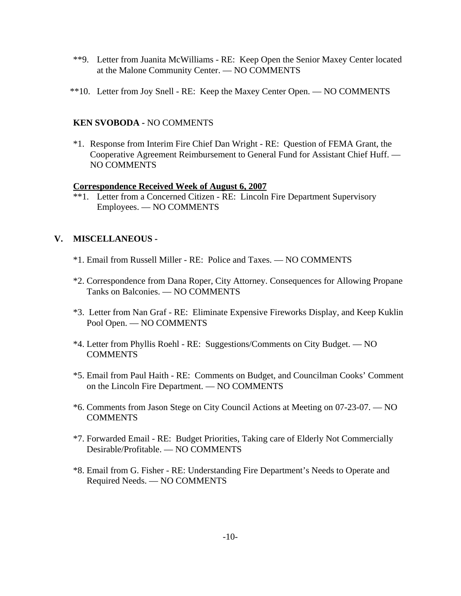- \*\*9. Letter from Juanita McWilliams RE: Keep Open the Senior Maxey Center located at the Malone Community Center. — NO COMMENTS
- \*\*10. Letter from Joy Snell RE: Keep the Maxey Center Open. NO COMMENTS

### **KEN SVOBODA -** NO COMMENTS

\*1. Response from Interim Fire Chief Dan Wright - RE: Question of FEMA Grant, the Cooperative Agreement Reimbursement to General Fund for Assistant Chief Huff. — NO COMMENTS

### **Correspondence Received Week of August 6, 2007**

\*\*1. Letter from a Concerned Citizen - RE: Lincoln Fire Department Supervisory Employees. — NO COMMENTS

### **V. MISCELLANEOUS -**

- \*1. Email from Russell Miller RE: Police and Taxes. NO COMMENTS
- \*2. Correspondence from Dana Roper, City Attorney. Consequences for Allowing Propane Tanks on Balconies. — NO COMMENTS
- \*3. Letter from Nan Graf RE: Eliminate Expensive Fireworks Display, and Keep Kuklin Pool Open. — NO COMMENTS
- \*4. Letter from Phyllis Roehl RE: Suggestions/Comments on City Budget. NO **COMMENTS**
- \*5. Email from Paul Haith RE: Comments on Budget, and Councilman Cooks' Comment on the Lincoln Fire Department. — NO COMMENTS
- \*6. Comments from Jason Stege on City Council Actions at Meeting on 07-23-07. NO **COMMENTS**
- \*7. Forwarded Email RE: Budget Priorities, Taking care of Elderly Not Commercially Desirable/Profitable. — NO COMMENTS
- \*8. Email from G. Fisher RE: Understanding Fire Department's Needs to Operate and Required Needs. — NO COMMENTS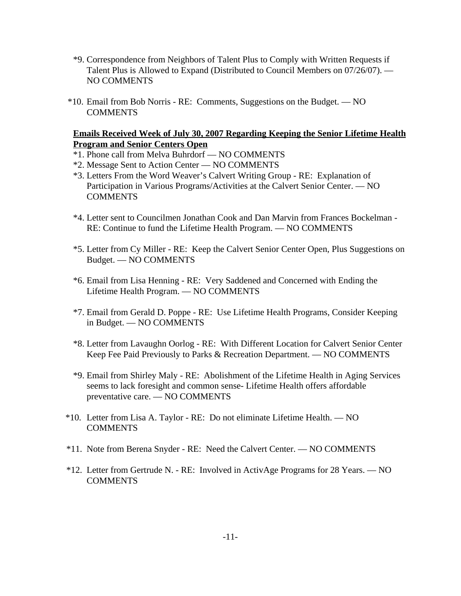- \*9. Correspondence from Neighbors of Talent Plus to Comply with Written Requests if Talent Plus is Allowed to Expand (Distributed to Council Members on 07/26/07). — NO COMMENTS
- \*10. Email from Bob Norris RE: Comments, Suggestions on the Budget. NO **COMMENTS**

### **Emails Received Week of July 30, 2007 Regarding Keeping the Senior Lifetime Health Program and Senior Centers Open**

- \*1. Phone call from Melva Buhrdorf NO COMMENTS
- \*2. Message Sent to Action Center NO COMMENTS
- \*3. Letters From the Word Weaver's Calvert Writing Group RE: Explanation of Participation in Various Programs/Activities at the Calvert Senior Center. — NO **COMMENTS**
- \*4. Letter sent to Councilmen Jonathan Cook and Dan Marvin from Frances Bockelman RE: Continue to fund the Lifetime Health Program. — NO COMMENTS
- \*5. Letter from Cy Miller RE: Keep the Calvert Senior Center Open, Plus Suggestions on Budget. — NO COMMENTS
- \*6. Email from Lisa Henning RE: Very Saddened and Concerned with Ending the Lifetime Health Program. — NO COMMENTS
- \*7. Email from Gerald D. Poppe RE: Use Lifetime Health Programs, Consider Keeping in Budget. — NO COMMENTS
- \*8. Letter from Lavaughn Oorlog RE: With Different Location for Calvert Senior Center Keep Fee Paid Previously to Parks & Recreation Department. — NO COMMENTS
- \*9. Email from Shirley Maly RE: Abolishment of the Lifetime Health in Aging Services seems to lack foresight and common sense- Lifetime Health offers affordable preventative care. — NO COMMENTS
- \*10. Letter from Lisa A. Taylor RE: Do not eliminate Lifetime Health. NO COMMENTS
- \*11. Note from Berena Snyder RE: Need the Calvert Center. NO COMMENTS
- \*12. Letter from Gertrude N. RE: Involved in ActivAge Programs for 28 Years. NO **COMMENTS**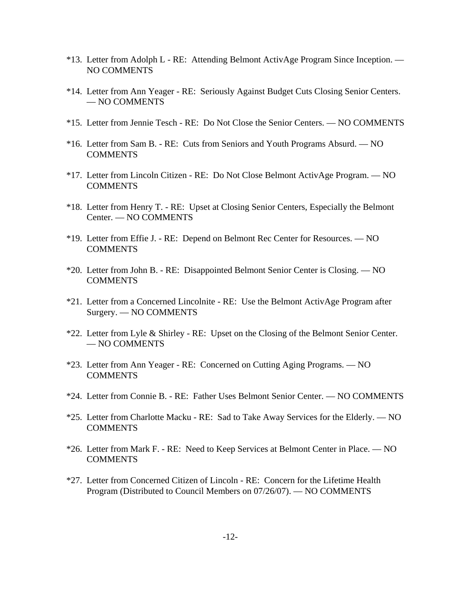- \*13. Letter from Adolph L RE: Attending Belmont ActivAge Program Since Inception. NO COMMENTS
- \*14. Letter from Ann Yeager RE: Seriously Against Budget Cuts Closing Senior Centers. — NO COMMENTS
- \*15. Letter from Jennie Tesch RE: Do Not Close the Senior Centers. NO COMMENTS
- \*16. Letter from Sam B. RE: Cuts from Seniors and Youth Programs Absurd. NO COMMENTS
- \*17. Letter from Lincoln Citizen RE: Do Not Close Belmont ActivAge Program. NO **COMMENTS**
- \*18. Letter from Henry T. RE: Upset at Closing Senior Centers, Especially the Belmont Center. — NO COMMENTS
- \*19. Letter from Effie J. RE: Depend on Belmont Rec Center for Resources. NO **COMMENTS**
- \*20. Letter from John B. RE: Disappointed Belmont Senior Center is Closing. NO **COMMENTS**
- \*21. Letter from a Concerned Lincolnite RE: Use the Belmont ActivAge Program after Surgery. — NO COMMENTS
- \*22. Letter from Lyle & Shirley RE: Upset on the Closing of the Belmont Senior Center. — NO COMMENTS
- \*23. Letter from Ann Yeager RE: Concerned on Cutting Aging Programs. NO **COMMENTS**
- \*24. Letter from Connie B. RE: Father Uses Belmont Senior Center. NO COMMENTS
- \*25. Letter from Charlotte Macku RE: Sad to Take Away Services for the Elderly. NO **COMMENTS**
- \*26. Letter from Mark F. RE: Need to Keep Services at Belmont Center in Place. NO **COMMENTS**
- \*27. Letter from Concerned Citizen of Lincoln RE: Concern for the Lifetime Health Program (Distributed to Council Members on 07/26/07). — NO COMMENTS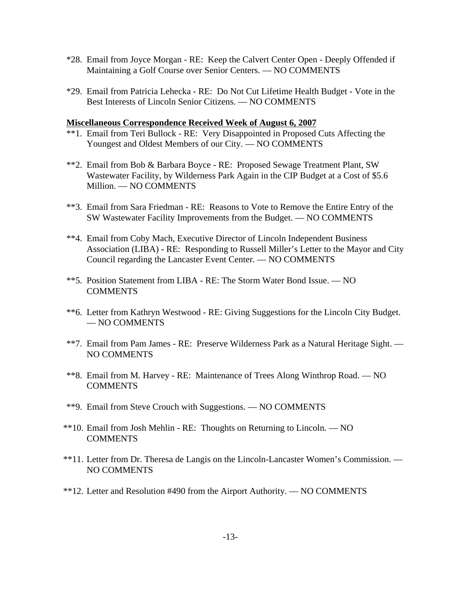- \*28. Email from Joyce Morgan RE: Keep the Calvert Center Open Deeply Offended if Maintaining a Golf Course over Senior Centers. — NO COMMENTS
- \*29. Email from Patricia Lehecka RE: Do Not Cut Lifetime Health Budget Vote in the Best Interests of Lincoln Senior Citizens. — NO COMMENTS

### **Miscellaneous Correspondence Received Week of August 6, 2007**

- \*\*1. Email from Teri Bullock RE: Very Disappointed in Proposed Cuts Affecting the Youngest and Oldest Members of our City. — NO COMMENTS
- \*\*2. Email from Bob & Barbara Boyce RE: Proposed Sewage Treatment Plant, SW Wastewater Facility, by Wilderness Park Again in the CIP Budget at a Cost of \$5.6 Million. — NO COMMENTS
- \*\*3. Email from Sara Friedman RE: Reasons to Vote to Remove the Entire Entry of the SW Wastewater Facility Improvements from the Budget. — NO COMMENTS
- \*\*4. Email from Coby Mach, Executive Director of Lincoln Independent Business Association (LIBA) - RE: Responding to Russell Miller's Letter to the Mayor and City Council regarding the Lancaster Event Center. — NO COMMENTS
- \*\*5. Position Statement from LIBA RE: The Storm Water Bond Issue. NO COMMENTS
- \*\*6. Letter from Kathryn Westwood RE: Giving Suggestions for the Lincoln City Budget. — NO COMMENTS
- \*\*7. Email from Pam James RE: Preserve Wilderness Park as a Natural Heritage Sight. NO COMMENTS
- \*\*8. Email from M. Harvey RE: Maintenance of Trees Along Winthrop Road. NO COMMENTS
- \*\*9. Email from Steve Crouch with Suggestions. NO COMMENTS
- \*\*10. Email from Josh Mehlin RE: Thoughts on Returning to Lincoln. NO **COMMENTS**
- \*\*11. Letter from Dr. Theresa de Langis on the Lincoln-Lancaster Women's Commission. NO COMMENTS
- \*\*12. Letter and Resolution #490 from the Airport Authority. NO COMMENTS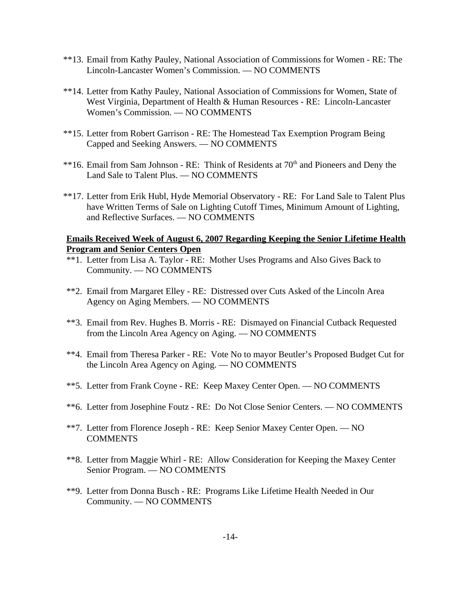- \*\*13. Email from Kathy Pauley, National Association of Commissions for Women RE: The Lincoln-Lancaster Women's Commission. — NO COMMENTS
- \*\*14. Letter from Kathy Pauley, National Association of Commissions for Women, State of West Virginia, Department of Health & Human Resources - RE: Lincoln-Lancaster Women's Commission. — NO COMMENTS
- \*\*15. Letter from Robert Garrison RE: The Homestead Tax Exemption Program Being Capped and Seeking Answers. — NO COMMENTS
- \*\*16. Email from Sam Johnson RE: Think of Residents at 70<sup>th</sup> and Pioneers and Deny the Land Sale to Talent Plus. — NO COMMENTS
- \*\*17. Letter from Erik Hubl, Hyde Memorial Observatory RE: For Land Sale to Talent Plus have Written Terms of Sale on Lighting Cutoff Times, Minimum Amount of Lighting, and Reflective Surfaces. — NO COMMENTS

### **Emails Received Week of August 6, 2007 Regarding Keeping the Senior Lifetime Health Program and Senior Centers Open**

- \*\*1. Letter from Lisa A. Taylor RE: Mother Uses Programs and Also Gives Back to Community. — NO COMMENTS
- \*\*2. Email from Margaret Elley RE: Distressed over Cuts Asked of the Lincoln Area Agency on Aging Members. — NO COMMENTS
- \*\*3. Email from Rev. Hughes B. Morris RE: Dismayed on Financial Cutback Requested from the Lincoln Area Agency on Aging. — NO COMMENTS
- \*\*4. Email from Theresa Parker RE: Vote No to mayor Beutler's Proposed Budget Cut for the Lincoln Area Agency on Aging. — NO COMMENTS
- \*\*5. Letter from Frank Coyne RE: Keep Maxey Center Open. NO COMMENTS
- \*\*6. Letter from Josephine Foutz RE: Do Not Close Senior Centers. NO COMMENTS
- \*\*7. Letter from Florence Joseph RE: Keep Senior Maxey Center Open. NO **COMMENTS**
- \*\*8. Letter from Maggie Whirl RE: Allow Consideration for Keeping the Maxey Center Senior Program. — NO COMMENTS
- \*\*9. Letter from Donna Busch RE: Programs Like Lifetime Health Needed in Our Community. — NO COMMENTS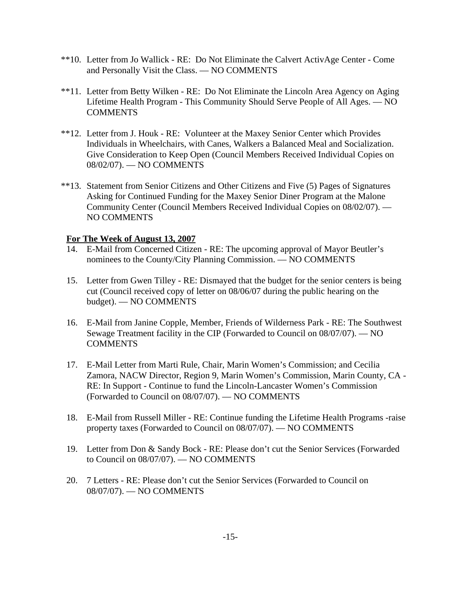- \*\*10. Letter from Jo Wallick RE: Do Not Eliminate the Calvert ActivAge Center Come and Personally Visit the Class. — NO COMMENTS
- \*\*11. Letter from Betty Wilken RE: Do Not Eliminate the Lincoln Area Agency on Aging Lifetime Health Program - This Community Should Serve People of All Ages. — NO **COMMENTS**
- \*\*12. Letter from J. Houk RE: Volunteer at the Maxey Senior Center which Provides Individuals in Wheelchairs, with Canes, Walkers a Balanced Meal and Socialization. Give Consideration to Keep Open (Council Members Received Individual Copies on 08/02/07). — NO COMMENTS
- \*\*13. Statement from Senior Citizens and Other Citizens and Five (5) Pages of Signatures Asking for Continued Funding for the Maxey Senior Diner Program at the Malone Community Center (Council Members Received Individual Copies on 08/02/07). — NO COMMENTS

### **For The Week of August 13, 2007**

- 14. E-Mail from Concerned Citizen RE: The upcoming approval of Mayor Beutler's nominees to the County/City Planning Commission. — NO COMMENTS
- 15. Letter from Gwen Tilley RE: Dismayed that the budget for the senior centers is being cut (Council received copy of letter on 08/06/07 during the public hearing on the budget). — NO COMMENTS
- 16. E-Mail from Janine Copple, Member, Friends of Wilderness Park RE: The Southwest Sewage Treatment facility in the CIP (Forwarded to Council on 08/07/07). — NO **COMMENTS**
- 17. E-Mail Letter from Marti Rule, Chair, Marin Women's Commission; and Cecilia Zamora, NACW Director, Region 9, Marin Women's Commission, Marin County, CA - RE: In Support - Continue to fund the Lincoln-Lancaster Women's Commission (Forwarded to Council on 08/07/07). — NO COMMENTS
- 18. E-Mail from Russell Miller RE: Continue funding the Lifetime Health Programs -raise property taxes (Forwarded to Council on 08/07/07). — NO COMMENTS
- 19. Letter from Don & Sandy Bock RE: Please don't cut the Senior Services (Forwarded to Council on 08/07/07). — NO COMMENTS
- 20. 7 Letters RE: Please don't cut the Senior Services (Forwarded to Council on 08/07/07). — NO COMMENTS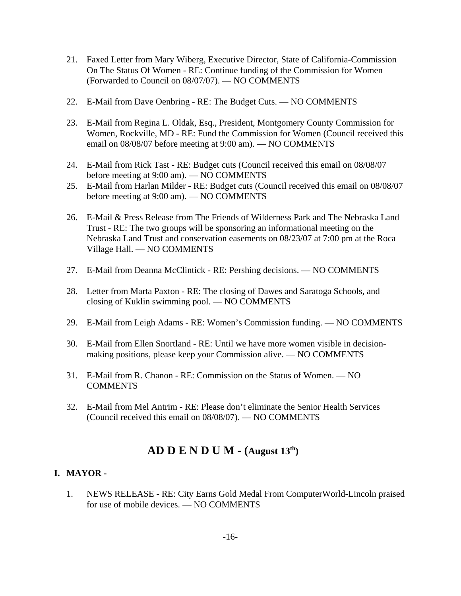- 21. Faxed Letter from Mary Wiberg, Executive Director, State of California-Commission On The Status Of Women - RE: Continue funding of the Commission for Women (Forwarded to Council on 08/07/07). — NO COMMENTS
- 22. E-Mail from Dave Oenbring RE: The Budget Cuts. NO COMMENTS
- 23. E-Mail from Regina L. Oldak, Esq., President, Montgomery County Commission for Women, Rockville, MD - RE: Fund the Commission for Women (Council received this email on 08/08/07 before meeting at 9:00 am). — NO COMMENTS
- 24. E-Mail from Rick Tast RE: Budget cuts (Council received this email on 08/08/07 before meeting at 9:00 am). — NO COMMENTS
- 25. E-Mail from Harlan Milder RE: Budget cuts (Council received this email on 08/08/07 before meeting at 9:00 am). — NO COMMENTS
- 26. E-Mail & Press Release from The Friends of Wilderness Park and The Nebraska Land Trust - RE: The two groups will be sponsoring an informational meeting on the Nebraska Land Trust and conservation easements on 08/23/07 at 7:00 pm at the Roca Village Hall. — NO COMMENTS
- 27. E-Mail from Deanna McClintick RE: Pershing decisions. NO COMMENTS
- 28. Letter from Marta Paxton RE: The closing of Dawes and Saratoga Schools, and closing of Kuklin swimming pool. — NO COMMENTS
- 29. E-Mail from Leigh Adams RE: Women's Commission funding. NO COMMENTS
- 30. E-Mail from Ellen Snortland RE: Until we have more women visible in decisionmaking positions, please keep your Commission alive. — NO COMMENTS
- 31. E-Mail from R. Chanon RE: Commission on the Status of Women. NO COMMENTS
- 32. E-Mail from Mel Antrim RE: Please don't eliminate the Senior Health Services (Council received this email on 08/08/07). — NO COMMENTS

# **AD D E N D U M - (August 13th)**

# **I. MAYOR -**

1. NEWS RELEASE - RE: City Earns Gold Medal From ComputerWorld-Lincoln praised for use of mobile devices. — NO COMMENTS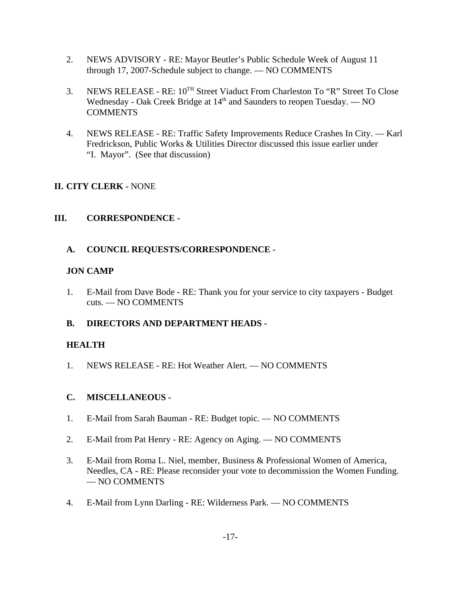- 2. NEWS ADVISORY RE: Mayor Beutler's Public Schedule Week of August 11 through 17, 2007-Schedule subject to change. — NO COMMENTS
- 3. NEWS RELEASE RE:  $10^{TH}$  Street Viaduct From Charleston To "R" Street To Close Wednesday - Oak Creek Bridge at 14<sup>th</sup> and Saunders to reopen Tuesday. — NO **COMMENTS**
- 4. NEWS RELEASE RE: Traffic Safety Improvements Reduce Crashes In City. Karl Fredrickson, Public Works & Utilities Director discussed this issue earlier under "I. Mayor". (See that discussion)

# **II. CITY CLERK -** NONE

# **III. CORRESPONDENCE -**

# **A. COUNCIL REQUESTS/CORRESPONDENCE** -

# **JON CAMP**

1. E-Mail from Dave Bode - RE: Thank you for your service to city taxpayers - Budget cuts. — NO COMMENTS

# **B. DIRECTORS AND DEPARTMENT HEADS -**

# **HEALTH**

1. NEWS RELEASE - RE: Hot Weather Alert. — NO COMMENTS

# **C. MISCELLANEOUS -**

- 1. E-Mail from Sarah Bauman RE: Budget topic. NO COMMENTS
- 2. E-Mail from Pat Henry RE: Agency on Aging. NO COMMENTS
- 3. E-Mail from Roma L. Niel, member, Business & Professional Women of America, Needles, CA - RE: Please reconsider your vote to decommission the Women Funding. — NO COMMENTS
- 4. E-Mail from Lynn Darling RE: Wilderness Park. NO COMMENTS